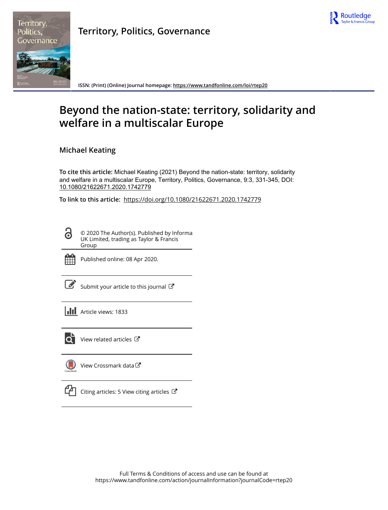



**Territory, Politics, Governance**

**ISSN: (Print) (Online) Journal homepage:<https://www.tandfonline.com/loi/rtep20>**

# **Beyond the nation-state: territory, solidarity and welfare in a multiscalar Europe**

**Michael Keating**

**To cite this article:** Michael Keating (2021) Beyond the nation-state: territory, solidarity and welfare in a multiscalar Europe, Territory, Politics, Governance, 9:3, 331-345, DOI: [10.1080/21622671.2020.1742779](https://www.tandfonline.com/action/showCitFormats?doi=10.1080/21622671.2020.1742779)

**To link to this article:** <https://doi.org/10.1080/21622671.2020.1742779>

© 2020 The Author(s). Published by Informa UK Limited, trading as Taylor & Francis Group



ര

Published online: 08 Apr 2020.

[Submit your article to this journal](https://www.tandfonline.com/action/authorSubmission?journalCode=rtep20&show=instructions)  $\mathbb{Z}$ 

**III** Article views: 1833



 $\overline{Q}$  [View related articles](https://www.tandfonline.com/doi/mlt/10.1080/21622671.2020.1742779)  $\overline{C}$ 

[View Crossmark data](http://crossmark.crossref.org/dialog/?doi=10.1080/21622671.2020.1742779&domain=pdf&date_stamp=2020-04-08)



 $\Box$  [Citing articles: 5 View citing articles](https://www.tandfonline.com/doi/citedby/10.1080/21622671.2020.1742779#tabModule)  $\Box$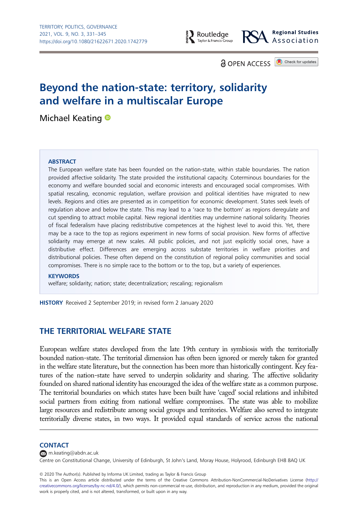

**Regional Studies** Association

**a** OPFN ACCESS **D** Check for updates

# Beyond the nation-state: territory, solidarity and welfare in a multiscalar Europe

Michael Keating <sup>®</sup>

#### **ABSTRACT**

The European welfare state has been founded on the nation-state, within stable boundaries. The nation provided affective solidarity. The state provided the institutional capacity. Coterminous boundaries for the economy and welfare bounded social and economic interests and encouraged social compromises. With spatial rescaling, economic regulation, welfare provision and political identities have migrated to new levels. Regions and cities are presented as in competition for economic development. States seek levels of regulation above and below the state. This may lead to a 'race to the bottom' as regions deregulate and cut spending to attract mobile capital. New regional identities may undermine national solidarity. Theories of fiscal federalism have placing redistributive competences at the highest level to avoid this. Yet, there may be a race to the top as regions experiment in new forms of social provision. New forms of affective solidarity may emerge at new scales. All public policies, and not just explicitly social ones, have a distributive effect. Differences are emerging across substate territories in welfare priorities and distributional policies. These often depend on the constitution of regional policy communities and social compromises. There is no simple race to the bottom or to the top, but a variety of experiences.

#### **KEYWORDS**

welfare; solidarity; nation; state; decentralization; rescaling; regionalism

HISTORY Received 2 September 2019; in revised form 2 January 2020

# THE TERRITORIAL WELFARE STATE

European welfare states developed from the late 19th century in symbiosis with the territorially bounded nation-state. The territorial dimension has often been ignored or merely taken for granted in the welfare state literature, but the connection has been more than historically contingent. Key features of the nation-state have served to underpin solidarity and sharing. The affective solidarity founded on shared national identity has encouraged the idea of the welfare state as a common purpose. The territorial boundaries on which states have been built have 'caged' social relations and inhibited social partners from exiting from national welfare compromises. The state was able to mobilize large resources and redistribute among social groups and territories. Welfare also served to integrate territorially diverse states, in two ways. It provided equal standards of service across the national

#### **CONTACT**

[m.keating@abdn.ac.uk](mailto:m.keating@abdn.ac.uk)

Centre on Constitutional Change, University of Edinburgh, St John's Land, Moray House, Holyrood, Edinburgh EH8 8AQ UK

© 2020 The Author(s). Published by Informa UK Limited, trading as Taylor & Francis Group

This is an Open Access article distributed under the terms of the Creative Commons Attribution-NonCommercial-NoDerivatives License [\(http://](http://creativecommons.org/licenses/by-nc-nd/4.0/) [creativecommons.org/licenses/by-nc-nd/4.0/\)](http://creativecommons.org/licenses/by-nc-nd/4.0/), which permits non-commercial re-use, distribution, and reproduction in any medium, provided the original work is properly cited, and is not altered, transformed, or built upon in any way.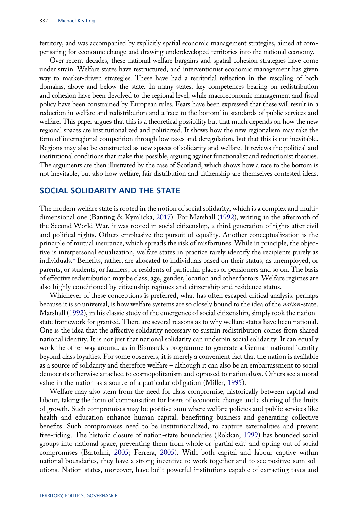<span id="page-2-0"></span>territory, and was accompanied by explicitly spatial economic management strategies, aimed at compensating for economic change and drawing underdeveloped territories into the national economy.

Over recent decades, these national welfare bargains and spatial cohesion strategies have come under strain. Welfare states have restructured, and interventionist economic management has given way to market-driven strategies. These have had a territorial reflection in the rescaling of both domains, above and below the state. In many states, key competences bearing on redistribution and cohesion have been devolved to the regional level, while macroeconomic management and fiscal policy have been constrained by European rules. Fears have been expressed that these will result in a reduction in welfare and redistribution and a 'race to the bottom' in standards of public services and welfare. This paper argues that this is a theoretical possibility but that much depends on how the new regional spaces are institutionalized and politicized. It shows how the new regionalism may take the form of interregional competition through low taxes and deregulation, but that this is not inevitable. Regions may also be constructed as new spaces of solidarity and welfare. It reviews the political and institutional conditions that make this possible, arguing against functionalist and reductionist theories. The arguments are then illustrated by the case of Scotland, which shows how a race to the bottom is not inevitable, but also how welfare, fair distribution and citizenship are themselves contested ideas.

#### SOCIAL SOLIDARITY AND THE STATE

The modern welfare state is rooted in the notion of social solidarity, which is a complex and multidimensional one (Banting & Kymlicka, [2017\)](#page-13-0). For Marshall ([1992\)](#page-14-0), writing in the aftermath of the Second World War, it was rooted in social citizenship, a third generation of rights after civil and political rights. Others emphasize the pursuit of equality. Another conceptualization is the principle of mutual insurance, which spreads the risk of misfortunes. While in principle, the objective is interpersonal equalization, welfare states in practice rarely identify the recipients purely as individuals.<sup>[1](#page-12-0)</sup> Benefits, rather, are allocated to individuals based on their status, as unemployed, or parents, or students, or farmers, or residents of particular places or pensioners and so on. The basis of effective redistribution may be class, age, gender, location and other factors. Welfare regimes are also highly conditioned by citizenship regimes and citizenship and residence status.

Whichever of these conceptions is preferred, what has often escaped critical analysis, perhaps because it is so universal, is how welfare systems are so closely bound to the idea of the nation-state. Marshall [\(1992](#page-14-0)), in his classic study of the emergence of social citizenship, simply took the nationstate framework for granted. There are several reasons as to why welfare states have been national. One is the idea that the affective solidarity necessary to sustain redistribution comes from shared national identity. It is not just that national solidarity can underpin social solidarity. It can equally work the other way around, as in Bismarck's programme to generate a German national identity beyond class loyalties. For some observers, it is merely a convenient fact that the nation is available as a source of solidarity and therefore welfare – although it can also be an embarrassment to social democrats otherwise attached to cosmopolitanism and opposed to nationalism. Others see a moral value in the nation as a source of a particular obligation (Miller, [1995\)](#page-14-0).

Welfare may also stem from the need for class compromise, historically between capital and labour, taking the form of compensation for losers of economic change and a sharing of the fruits of growth. Such compromises may be positive-sum where welfare policies and public services like health and education enhance human capital, benefitting business and generating collective benefits. Such compromises need to be institutionalized, to capture externalities and prevent free-riding. The historic closure of nation-state boundaries (Rokkan, [1999\)](#page-15-0) has bounded social groups into national space, preventing them from whole or 'partial exit' and opting out of social compromises (Bartolini, [2005](#page-13-0); Ferrera, [2005\)](#page-14-0). With both capital and labour captive within national boundaries, they have a strong incentive to work together and to see positive-sum solutions. Nation-states, moreover, have built powerful institutions capable of extracting taxes and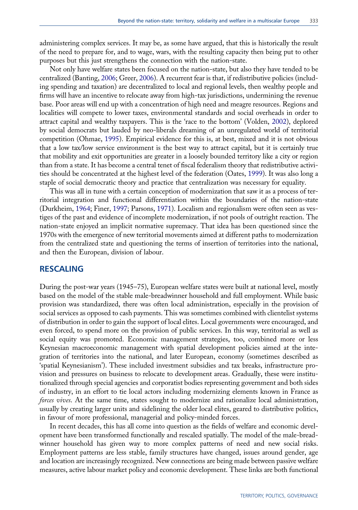<span id="page-3-0"></span>administering complex services. It may be, as some have argued, that this is historically the result of the need to prepare for, and to wage, wars, with the resulting capacity then being put to other purposes but this just strengthens the connection with the nation-state.

Not only have welfare states been focused on the nation-state, but also they have tended to be centralized (Banting, [2006;](#page-13-0) Greer, [2006\)](#page-14-0). A recurrent fear is that, if redistributive policies (including spending and taxation) are decentralized to local and regional levels, then wealthy people and firms will have an incentive to relocate away from high-tax jurisdictions, undermining the revenue base. Poor areas will end up with a concentration of high need and meagre resources. Regions and localities will compete to lower taxes, environmental standards and social overheads in order to attract capital and wealthy taxpayers. This is the 'race to the bottom' (Volden, [2002\)](#page-15-0), deplored by social democrats but lauded by neo-liberals dreaming of an unregulated world of territorial competition (Ohmae, [1995](#page-14-0)). Empirical evidence for this is, at best, mixed and it is not obvious that a low tax/low service environment is the best way to attract capital, but it is certainly true that mobility and exit opportunities are greater in a loosely bounded territory like a city or region than from a state. It has become a central tenet of fiscal federalism theory that redistributive activities should be concentrated at the highest level of the federation (Oates, [1999\)](#page-14-0). It was also long a staple of social democratic theory and practice that centralization was necessary for equality.

This was all in tune with a certain conception of modernization that saw it as a process of territorial integration and functional differentiation within the boundaries of the nation-state (Durkheim, [1964](#page-14-0); Finer, [1997;](#page-14-0) Parsons, [1971](#page-14-0)). Localism and regionalism were often seen as vestiges of the past and evidence of incomplete modernization, if not pools of outright reaction. The nation-state enjoyed an implicit normative supremacy. That idea has been questioned since the 1970s with the emergence of new territorial movements aimed at different paths to modernization from the centralized state and questioning the terms of insertion of territories into the national, and then the European, division of labour.

#### RESCALING

During the post-war years (1945–75), European welfare states were built at national level, mostly based on the model of the stable male-breadwinner household and full employment. While basic provision was standardized, there was often local administration, especially in the provision of social services as opposed to cash payments. This was sometimes combined with clientelist systems of distribution in order to gain the support of local elites. Local governments were encouraged, and even forced, to spend more on the provision of public services. In this way, territorial as well as social equity was promoted. Economic management strategies, too, combined more or less Keynesian macroeconomic management with spatial development policies aimed at the integration of territories into the national, and later European, economy (sometimes described as 'spatial Keynesianism'). These included investment subsidies and tax breaks, infrastructure provision and pressures on business to relocate to development areas. Gradually, these were institutionalized through special agencies and corporatist bodies representing government and both sides of industry, in an effort to tie local actors including modernizing elements known in France as forces vives. At the same time, states sought to modernize and rationalize local administration, usually by creating larger units and sidelining the older local elites, geared to distributive politics, in favour of more professional, managerial and policy-minded forces.

In recent decades, this has all come into question as the fields of welfare and economic development have been transformed functionally and rescaled spatially. The model of the male-breadwinner household has given way to more complex patterns of need and new social risks. Employment patterns are less stable, family structures have changed, issues around gender, age and location are increasingly recognized. New connections are being made between passive welfare measures, active labour market policy and economic development. These links are both functional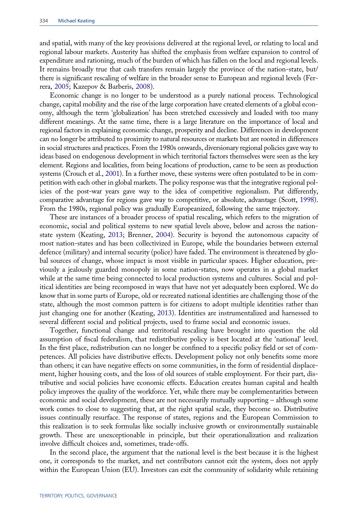<span id="page-4-0"></span>and spatial, with many of the key provisions delivered at the regional level, or relating to local and regional labour markets. Austerity has shifted the emphasis from welfare expansion to control of expenditure and rationing, much of the burden of which has fallen on the local and regional levels. It remains broadly true that cash transfers remain largely the province of the nation-state, but/ there is significant rescaling of welfare in the broader sense to European and regional levels (Ferrera, [2005](#page-14-0); Kazepov & Barberis, [2008](#page-14-0)).

Economic change is no longer to be understood as a purely national process. Technological change, capital mobility and the rise of the large corporation have created elements of a global economy, although the term 'globalization' has been stretched excessively and loaded with too many different meanings. At the same time, there is a large literature on the importance of local and regional factors in explaining economic change, prosperity and decline. Differences in development can no longer be attributed to proximity to natural resources or markets but are rooted in differences in social structures and practices. From the 1980s onwards, diversionary regional policies gave way to ideas based on endogenous development in which territorial factors themselves were seen as the key element. Regions and localities, from being locations of production, came to be seen as production systems (Crouch et al., [2001\)](#page-14-0). In a further move, these systems were often postulated to be in competition with each other in global markets. The policy response was that the integrative regional policies of the post-war years gave way to the idea of competitive regionalism. Put differently, comparative advantage for regions gave way to competitive, or absolute, advantage (Scott, [1998\)](#page-15-0). From the 1980s, regional policy was gradually Europeanized, following the same trajectory.

These are instances of a broader process of spatial rescaling, which refers to the migration of economic, social and political systems to new spatial levels above, below and across the nationstate system (Keating, [2013](#page-14-0); Brenner, [2004](#page-13-0)). Security is beyond the autonomous capacity of most nation-states and has been collectivized in Europe, while the boundaries between external defence (military) and internal security (police) have faded. The environment is threatened by global sources of change, whose impact is most visible in particular spaces. Higher education, previously a jealously guarded monopoly in some nation-states, now operates in a global market while at the same time being connected to local production systems and cultures. Social and political identities are being recomposed in ways that have not yet adequately been explored. We do know that in some parts of Europe, old or recreated national identities are challenging those of the state, although the most common pattern is for citizens to adopt multiple identities rather than just changing one for another (Keating, [2013\)](#page-14-0). Identities are instrumentalized and harnessed to several different social and political projects, used to frame social and economic issues.

Together, functional change and territorial rescaling have brought into question the old assumption of fiscal federalism, that redistributive policy is best located at the 'national' level. In the first place, redistribution can no longer be confined to a specific policy field or set of competences. All policies have distributive effects. Development policy not only benefits some more than others; it can have negative effects on some communities, in the form of residential displacement, higher housing costs, and the loss of old sources of stable employment. For their part, distributive and social policies have economic effects. Education creates human capital and health policy improves the quality of the workforce. Yet, while there may be complementarities between economic and social development, these are not necessarily mutually supporting – although some work comes to close to suggesting that, at the right spatial scale, they become so. Distributive issues continually resurface. The response of states, regions and the European Commission to this realization is to seek formulas like socially inclusive growth or environmentally sustainable growth. These are unexceptionable in principle, but their operationalization and realization involve difficult choices and, sometimes, trade-offs.

In the second place, the argument that the national level is the best because it is the highest one, it corresponds to the market, and net contributors cannot exit the system, does not apply within the European Union (EU). Investors can exit the community of solidarity while retaining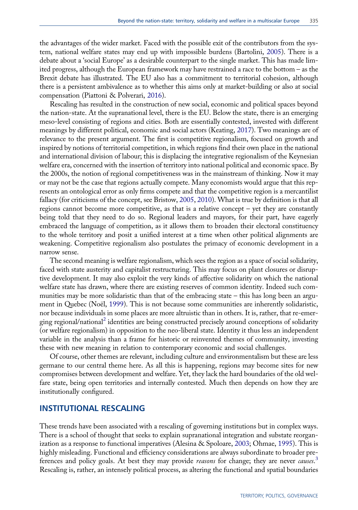<span id="page-5-0"></span>the advantages of the wider market. Faced with the possible exit of the contributors from the system, national welfare states may end up with impossible burdens (Bartolini, [2005\)](#page-13-0). There is a debate about a 'social Europe' as a desirable counterpart to the single market. This has made limited progress, although the European framework may have restrained a race to the bottom – as the Brexit debate has illustrated. The EU also has a commitment to territorial cohesion, although there is a persistent ambivalence as to whether this aims only at market-building or also at social compensation (Piattoni & Polverari, [2016](#page-15-0)).

Rescaling has resulted in the construction of new social, economic and political spaces beyond the nation-state. At the supranational level, there is the EU. Below the state, there is an emerging meso-level consisting of regions and cities. Both are essentially contested, invested with different meanings by different political, economic and social actors (Keating, [2017\)](#page-14-0). Two meanings are of relevance to the present argument. The first is competitive regionalism, focused on growth and inspired by notions of territorial competition, in which regions find their own place in the national and international division of labour; this is displacing the integrative regionalism of the Keynesian welfare era, concerned with the insertion of territory into national political and economic space. By the 2000s, the notion of regional competitiveness was in the mainstream of thinking. Now it may or may not be the case that regions actually compete. Many economists would argue that this represents an ontological error as only firms compete and that the competitive region is a mercantilist fallacy (for criticisms of the concept, see Bristow, [2005](#page-13-0), [2010](#page-13-0)). What is true by definition is that all regions cannot become more competitive, as that is a relative concept – yet they are constantly being told that they need to do so. Regional leaders and mayors, for their part, have eagerly embraced the language of competition, as it allows them to broaden their electoral constituency to the whole territory and posit a unified interest at a time when other political alignments are weakening. Competitive regionalism also postulates the primacy of economic development in a narrow sense.

The second meaning is welfare regionalism, which sees the region as a space of social solidarity, faced with state austerity and capitalist restructuring. This may focus on plant closures or disruptive development. It may also exploit the very kinds of affective solidarity on which the national welfare state has drawn, where there are existing reserves of common identity. Indeed such communities may be more solidaristic than that of the embracing state – this has long been an argument in Quebec (Noël, [1999](#page-14-0)). This is not because some communities are inherently solidaristic, nor because individuals in some places are more altruistic than in others. It is, rather, that re-emer-ging regional/national<sup>[2](#page-12-0)</sup> identities are being constructed precisely around conceptions of solidarity (or welfare regionalism) in opposition to the neo-liberal state. Identity it thus less an independent variable in the analysis than a frame for historic or reinvented themes of community, investing these with new meaning in relation to contemporary economic and social challenges.

Of course, other themes are relevant, including culture and environmentalism but these are less germane to our central theme here. As all this is happening, regions may become sites for new compromises between development and welfare. Yet, they lack the hard boundaries of the old welfare state, being open territories and internally contested. Much then depends on how they are institutionally configured.

#### INSTITUTIONAL RESCALING

These trends have been associated with a rescaling of governing institutions but in complex ways. There is a school of thought that seeks to explain supranational integration and substate reorganization as a response to functional imperatives (Alesina & Spoloare, [2003;](#page-13-0) Ohmae, [1995](#page-14-0)). This is highly misleading. Functional and efficiency considerations are always subordinate to broader pre-ferences and policy goals. At best they may provide reasons for change; they are never causes.<sup>[3](#page-13-0)</sup> Rescaling is, rather, an intensely political process, as altering the functional and spatial boundaries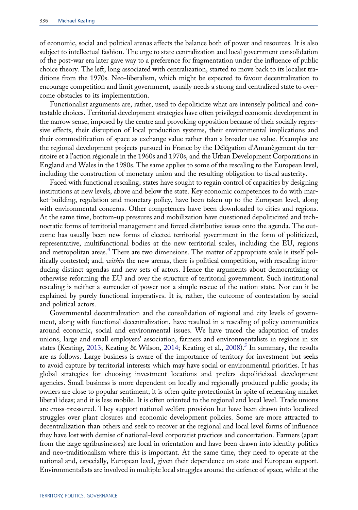<span id="page-6-0"></span>of economic, social and political arenas affects the balance both of power and resources. It is also subject to intellectual fashion. The urge to state centralization and local government consolidation of the post-war era later gave way to a preference for fragmentation under the influence of public choice theory. The left, long associated with centralization, started to move back to its localist traditions from the 1970s. Neo-liberalism, which might be expected to favour decentralization to encourage competition and limit government, usually needs a strong and centralized state to overcome obstacles to its implementation.

Functionalist arguments are, rather, used to depoliticize what are intensely political and contestable choices. Territorial development strategies have often privileged economic development in the narrow sense, imposed by the centre and provoking opposition because of their socially regressive effects, their disruption of local production systems, their environmental implications and their commodification of space as exchange value rather than a broader use value. Examples are the regional development projects pursued in France by the Délégation d'Amanègement du territoire et à l'action régionale in the 1960s and 1970s, and the Urban Development Corporations in England and Wales in the 1980s. The same applies to some of the rescaling to the European level, including the construction of monetary union and the resulting obligation to fiscal austerity.

Faced with functional rescaling, states have sought to regain control of capacities by designing institutions at new levels, above and below the state. Key economic competences to do with market-building, regulation and monetary policy, have been taken up to the European level, along with environmental concerns. Other competences have been downloaded to cities and regions. At the same time, bottom-up pressures and mobilization have questioned depoliticized and technocratic forms of territorial management and forced distributive issues onto the agenda. The outcome has usually been new forms of elected territorial government in the form of politicized, representative, multifunctional bodies at the new territorial scales, including the EU, regions and metropolitan areas.<sup>[4](#page-13-0)</sup> There are two dimensions. The matter of appropriate scale is itself politically contested; and, within the new arenas, there is political competition, with rescaling introducing distinct agendas and new sets of actors. Hence the arguments about democratizing or otherwise reforming the EU and over the structure of territorial government. Such institutional rescaling is neither a surrender of power nor a simple rescue of the nation-state. Nor can it be explained by purely functional imperatives. It is, rather, the outcome of contestation by social and political actors.

Governmental decentralization and the consolidation of regional and city levels of government, along with functional decentralization, have resulted in a rescaling of policy communities around economic, social and environmental issues. We have traced the adaptation of trades unions, large and small employers' association, farmers and environmentalists in regions in six states (Keating, [2013;](#page-14-0) Keating & Wilson, [2014;](#page-14-0) Keating et al., [2008\)](#page-14-0).<sup>[5](#page-13-0)</sup> In summary, the results are as follows. Large business is aware of the importance of territory for investment but seeks to avoid capture by territorial interests which may have social or environmental priorities. It has global strategies for choosing investment locations and prefers depoliticized development agencies. Small business is more dependent on locally and regionally produced public goods; its owners are close to popular sentiment; it is often quite protectionist in spite of rehearsing market liberal ideas; and it is less mobile. It is often oriented to the regional and local level. Trade unions are cross-pressured. They support national welfare provision but have been drawn into localized struggles over plant closures and economic development policies. Some are more attracted to decentralization than others and seek to recover at the regional and local level forms of influence they have lost with demise of national-level corporatist practices and concertation. Farmers (apart from the large agribusinesses) are local in orientation and have been drawn into identity politics and neo-traditionalism where this is important. At the same time, they need to operate at the national and, especially, European level, given their dependence on state and European support. Environmentalists are involved in multiple local struggles around the defence of space, while at the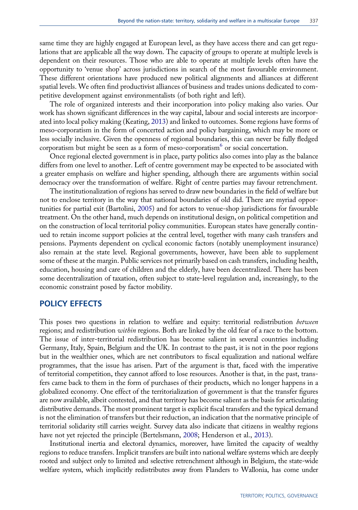<span id="page-7-0"></span>same time they are highly engaged at European level, as they have access there and can get regulations that are applicable all the way down. The capacity of groups to operate at multiple levels is dependent on their resources. Those who are able to operate at multiple levels often have the opportunity to 'venue shop' across jurisdictions in search of the most favourable environment. These different orientations have produced new political alignments and alliances at different spatial levels. We often find productivist alliances of business and trades unions dedicated to competitive development against environmentalists (of both right and left).

The role of organized interests and their incorporation into policy making also varies. Our work has shown significant differences in the way capital, labour and social interests are incorporated into local policy making (Keating, [2013\)](#page-14-0) and linked to outcomes. Some regions have forms of meso-corporatism in the form of concerted action and policy bargaining, which may be more or less socially inclusive. Given the openness of regional boundaries, this can never be fully fledged corporatism but might be seen as a form of meso-corporatism $<sup>6</sup>$  $<sup>6</sup>$  $<sup>6</sup>$  or social concertation.</sup>

Once regional elected government is in place, party politics also comes into play as the balance differs from one level to another. Left of centre government may be expected to be associated with a greater emphasis on welfare and higher spending, although there are arguments within social democracy over the transformation of welfare. Right of centre parties may favour retrenchment.

The institutionalization of regions has served to draw new boundaries in the field of welfare but not to enclose territory in the way that national boundaries of old did. There are myriad opportunities for partial exit (Bartolini, [2005\)](#page-13-0) and for actors to venue-shop jurisdictions for favourable treatment. On the other hand, much depends on institutional design, on political competition and on the construction of local territorial policy communities. European states have generally continued to retain income support policies at the central level, together with many cash transfers and pensions. Payments dependent on cyclical economic factors (notably unemployment insurance) also remain at the state level. Regional governments, however, have been able to supplement some of these at the margin. Public services not primarily based on cash transfers, including health, education, housing and care of children and the elderly, have been decentralized. There has been some decentralization of taxation, often subject to state-level regulation and, increasingly, to the economic constraint posed by factor mobility.

#### POLICY EFFECTS

This poses two questions in relation to welfare and equity: territorial redistribution *between* regions; and redistribution *within* regions. Both are linked by the old fear of a race to the bottom. The issue of inter-territorial redistribution has become salient in several countries including Germany, Italy, Spain, Belgium and the UK. In contrast to the past, it is not in the poor regions but in the wealthier ones, which are net contributors to fiscal equalization and national welfare programmes, that the issue has arisen. Part of the argument is that, faced with the imperative of territorial competition, they cannot afford to lose resources. Another is that, in the past, transfers came back to them in the form of purchases of their products, which no longer happens in a globalized economy. One effect of the territorialization of government is that the transfer figures are now available, albeit contested, and that territory has become salient as the basis for articulating distributive demands. The most prominent target is explicit fiscal transfers and the typical demand is not the elimination of transfers but their reduction, an indication that the normative principle of territorial solidarity still carries weight. Survey data also indicate that citizens in wealthy regions have not yet rejected the principle (Bertelsmann, [2008;](#page-13-0) Henderson et al., [2013](#page-14-0)).

Institutional inertia and electoral dynamics, moreover, have limited the capacity of wealthy regions to reduce transfers. Implicit transfers are built into national welfare systems which are deeply rooted and subject only to limited and selective retrenchment although in Belgium, the state-wide welfare system, which implicitly redistributes away from Flanders to Wallonia, has come under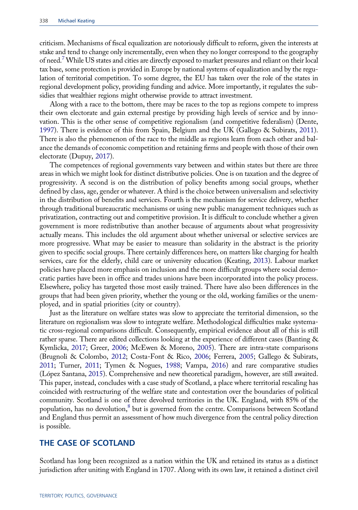<span id="page-8-0"></span>criticism. Mechanisms of fiscal equalization are notoriously difficult to reform, given the interests at stake and tend to change only incrementally, even when they no longer correspond to the geography of need[.7](#page-13-0) While US states and cities are directly exposed to market pressures and reliant on their local tax base, some protection is provided in Europe by national systems of equalization and by the regulation of territorial competition. To some degree, the EU has taken over the role of the states in regional development policy, providing funding and advice. More importantly, it regulates the subsidies that wealthier regions might otherwise provide to attract investment.

Along with a race to the bottom, there may be races to the top as regions compete to impress their own electorate and gain external prestige by providing high levels of service and by innovation. This is the other sense of competitive regionalism (and competitive federalism) (Dente, [1997\)](#page-14-0). There is evidence of this from Spain, Belgium and the UK (Gallego & Subirats, [2011\)](#page-14-0). There is also the phenomenon of the race to the middle as regions learn from each other and balance the demands of economic competition and retaining firms and people with those of their own electorate (Dupuy, [2017\)](#page-14-0).

The competences of regional governments vary between and within states but there are three areas in which we might look for distinct distributive policies. One is on taxation and the degree of progressivity. A second is on the distribution of policy benefits among social groups, whether defined by class, age, gender or whatever. A third is the choice between universalism and selectivity in the distribution of benefits and services. Fourth is the mechanism for service delivery, whether through traditional bureaucratic mechanisms or using new public management techniques such as privatization, contracting out and competitive provision. It is difficult to conclude whether a given government is more redistributive than another because of arguments about what progressivity actually means. This includes the old argument about whether universal or selective services are more progressive. What may be easier to measure than solidarity in the abstract is the priority given to specific social groups. There certainly differences here, on matters like charging for health services, care for the elderly, child care or university education (Keating, [2013](#page-14-0)). Labour market policies have placed more emphasis on inclusion and the more difficult groups where social democratic parties have been in office and trades unions have been incorporated into the policy process. Elsewhere, policy has targeted those most easily trained. There have also been differences in the groups that had been given priority, whether the young or the old, working families or the unemployed, and in spatial priorities (city or country).

Just as the literature on welfare states was slow to appreciate the territorial dimension, so the literature on regionalism was slow to integrate welfare. Methodological difficulties make systematic cross-regional comparisons difficult. Consequently, empirical evidence about all of this is still rather sparse. There are edited collections looking at the experience of different cases (Banting & Kymlicka, [2017;](#page-13-0) Greer, [2006](#page-14-0); McEwen & Moreno, [2005\)](#page-14-0). There are intra-state comparisons (Brugnoli & Colombo, [2012;](#page-13-0) Costa-Font & Rico, [2006;](#page-14-0) Ferrera, [2005;](#page-14-0) Gallego & Subirats, [2011;](#page-14-0) Turner, [2011](#page-15-0); Tymen & Nogues, [1988;](#page-15-0) Vampa, [2016\)](#page-15-0) and rare comparative studies (López Santana, [2015\)](#page-14-0). Comprehensive and new theoretical paradigm, however, are still awaited. This paper, instead, concludes with a case study of Scotland, a place where territorial rescaling has coincided with restructuring of the welfare state and contestation over the boundaries of political community. Scotland is one of three devolved territories in the UK. England, with 85% of the population, has no devolution, $8$  but is governed from the centre. Comparisons between Scotland and England thus permit an assessment of how much divergence from the central policy direction is possible.

#### THE CASE OF SCOTLAND

Scotland has long been recognized as a nation within the UK and retained its status as a distinct jurisdiction after uniting with England in 1707. Along with its own law, it retained a distinct civil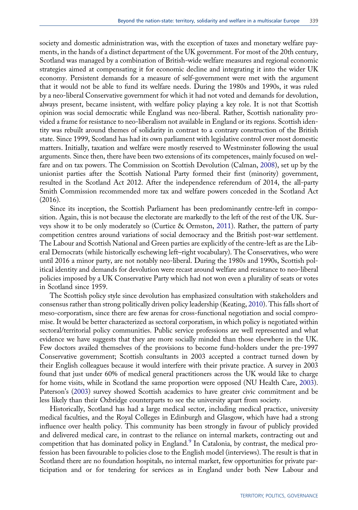<span id="page-9-0"></span>society and domestic administration was, with the exception of taxes and monetary welfare payments, in the hands of a distinct department of the UK government. For most of the 20th century, Scotland was managed by a combination of British-wide welfare measures and regional economic strategies aimed at compensating it for economic decline and integrating it into the wider UK economy. Persistent demands for a measure of self-government were met with the argument that it would not be able to fund its welfare needs. During the 1980s and 1990s, it was ruled by a neo-liberal Conservative government for which it had not voted and demands for devolution, always present, became insistent, with welfare policy playing a key role. It is not that Scottish opinion was social democratic while England was neo-liberal. Rather, Scottish nationality provided a frame for resistance to neo-liberalism not available in England or its regions. Scottish identity was rebuilt around themes of solidarity in contrast to a contrary construction of the British state. Since 1999, Scotland has had its own parliament with legislative control over most domestic matters. Initially, taxation and welfare were mostly reserved to Westminster following the usual arguments. Since then, there have been two extensions of its competences, mainly focused on welfare and on tax powers. The Commission on Scottish Devolution (Calman, [2008\)](#page-14-0), set up by the unionist parties after the Scottish National Party formed their first (minority) government, resulted in the Scotland Act 2012. After the independence referendum of 2014, the all-party Smith Commission recommended more tax and welfare powers conceded in the Scotland Act (2016).

Since its inception, the Scottish Parliament has been predominantly centre-left in composition. Again, this is not because the electorate are markedly to the left of the rest of the UK. Surveys show it to be only moderately so (Curtice & Ormston, [2011\)](#page-14-0). Rather, the pattern of party competition centres around variations of social democracy and the British post-war settlement. The Labour and Scottish National and Green parties are explicitly of the centre-left as are the Liberal Democrats (while historically eschewing left–right vocabulary). The Conservatives, who were until 2016 a minor party, are not notably neo-liberal. During the 1980s and 1990s, Scottish political identity and demands for devolution were recast around welfare and resistance to neo-liberal policies imposed by a UK Conservative Party which had not won even a plurality of seats or votes in Scotland since 1959.

The Scottish policy style since devolution has emphasized consultation with stakeholders and consensus rather than strong politically driven policy leadership (Keating, [2010](#page-14-0)). This falls short of meso-corporatism, since there are few arenas for cross-functional negotiation and social compromise. It would be better characterized as sectoral corporatism, in which policy is negotiated within sectoral/territorial policy communities. Public service professions are well represented and what evidence we have suggests that they are more socially minded than those elsewhere in the UK. Few doctors availed themselves of the provisions to become fund-holders under the pre-1997 Conservative government; Scottish consultants in 2003 accepted a contract turned down by their English colleagues because it would interfere with their private practice. A survey in 2003 found that just under 60% of medical general practitioners across the UK would like to charge for home visits, while in Scotland the same proportion were opposed (NU Health Care, [2003\)](#page-14-0). Paterson's ([2003\)](#page-15-0) survey showed Scottish academics to have greater civic commitment and be less likely than their Oxbridge counterparts to see the university apart from society.

Historically, Scotland has had a large medical sector, including medical practice, university medical faculties, and the Royal Colleges in Edinburgh and Glasgow, which have had a strong influence over health policy. This community has been strongly in favour of publicly provided and delivered medical care, in contrast to the reliance on internal markets, contracting out and competition that has dominated policy in England.<sup>[9](#page-13-0)</sup> In Catalonia, by contrast, the medical profession has been favourable to policies close to the English model (interviews). The result is that in Scotland there are no foundation hospitals, no internal market, few opportunities for private participation and or for tendering for services as in England under both New Labour and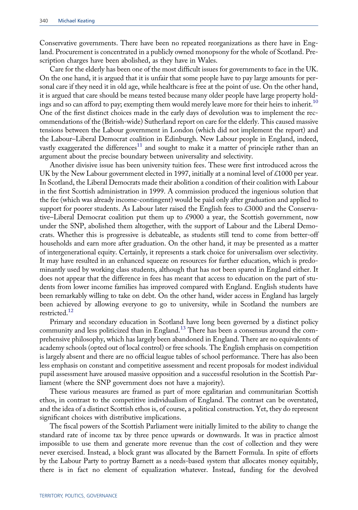Conservative governments. There have been no repeated reorganizations as there have in England. Procurement is concentrated in a publicly owned monopsony for the whole of Scotland. Prescription charges have been abolished, as they have in Wales.

Care for the elderly has been one of the most difficult issues for governments to face in the UK. On the one hand, it is argued that it is unfair that some people have to pay large amounts for personal care if they need it in old age, while healthcare is free at the point of use. On the other hand, it is argued that care should be means tested because many older people have large property hold-ings and so can afford to pay; exempting them would merely leave more for their heirs to inherit.<sup>[10](#page-13-0)</sup> One of the first distinct choices made in the early days of devolution was to implement the recommendations of the (British-wide) Sutherland report on care for the elderly. This caused massive tensions between the Labour government in London (which did not implement the report) and the Labour–Liberal Democrat coalition in Edinburgh. New Labour people in England, indeed, vastly exaggerated the differences<sup>[11](#page-13-0)</sup> and sought to make it a matter of principle rather than an argument about the precise boundary between universality and selectivity.

Another divisive issue has been university tuition fees. These were first introduced across the UK by the New Labour government elected in 1997, initially at a nominal level of  $\&1000$  per year. In Scotland, the Liberal Democrats made their abolition a condition of their coalition with Labour in the first Scottish administration in 1999. A commission produced the ingenious solution that the fee (which was already income-contingent) would be paid only after graduation and applied to support for poorer students. As Labour later raised the English fees to £3000 and the Conservative–Liberal Democrat coalition put them up to £9000 a year, the Scottish government, now under the SNP, abolished them altogether, with the support of Labour and the Liberal Democrats. Whether this is progressive is debateable, as students still tend to come from better-off households and earn more after graduation. On the other hand, it may be presented as a matter of intergenerational equity. Certainly, it represents a stark choice for universalism over selectivity. It may have resulted in an enhanced squeeze on resources for further education, which is predominantly used by working class students, although that has not been spared in England either. It does not appear that the difference in fees has meant that access to education on the part of students from lower income families has improved compared with England. English students have been remarkably willing to take on debt. On the other hand, wider access in England has largely been achieved by allowing everyone to go to university, while in Scotland the numbers are restricted.[12](#page-13-0)

Primary and secondary education in Scotland have long been governed by a distinct policy community and less politicized than in England.<sup>[13](#page-13-0)</sup> There has been a consensus around the comprehensive philosophy, which has largely been abandoned in England. There are no equivalents of academy schools (opted out of local control) or free schools. The English emphasis on competition is largely absent and there are no official league tables of school performance. There has also been less emphasis on constant and competitive assessment and recent proposals for modest individual pupil assessment have aroused massive opposition and a successful resolution in the Scottish Parliament (where the SNP government does not have a majority).

These various measures are framed as part of more egalitarian and communitarian Scottish ethos, in contrast to the competitive individualism of England. The contrast can be overstated, and the idea of a distinct Scottish ethos is, of course, a political construction. Yet, they do represent significant choices with distributive implications.

The fiscal powers of the Scottish Parliament were initially limited to the ability to change the standard rate of income tax by three pence upwards or downwards. It was in practice almost impossible to use them and generate more revenue than the cost of collection and they were never exercised. Instead, a block grant was allocated by the Barnett Formula. In spite of efforts by the Labour Party to portray Barnett as a needs-based system that allocates money equitably, there is in fact no element of equalization whatever. Instead, funding for the devolved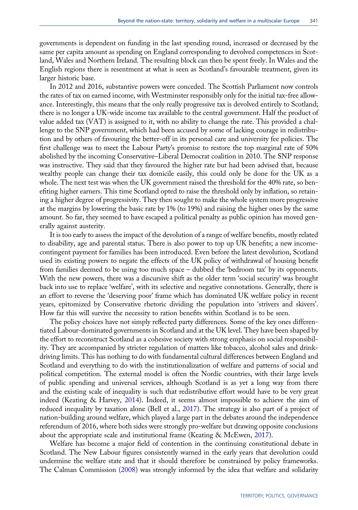<span id="page-11-0"></span>governments is dependent on funding in the last spending round, increased or decreased by the same per capita amount as spending on England corresponding to devolved competences in Scotland, Wales and Northern Ireland. The resulting block can then be spent freely. In Wales and the English regions there is resentment at what is seen as Scotland's favourable treatment, given its larger historic base.

In 2012 and 2016, substantive powers were conceded. The Scottish Parliament now controls the rates of tax on earned income, with Westminster responsibly only for the initial tax-free allowance. Interestingly, this means that the only really progressive tax is devolved entirely to Scotland; there is no longer a UK-wide income tax available to the central government. Half the product of value added tax (VAT) is assigned to it, with no ability to change the rate. This provided a challenge to the SNP government, which had been accused by some of lacking courage in redistribution and by others of favouring the better-off in its personal care and university fee policies. The first challenge was to meet the Labour Party's promise to restore the top marginal rate of 50% abolished by the incoming Conservative–Liberal Democrat coalition in 2010. The SNP response was instructive. They said that they favoured the higher rate but had been advised that, because wealthy people can change their tax domicile easily, this could only be done for the UK as a whole. The next test was when the UK government raised the threshold for the 40% rate, so benefiting higher earners. This time Scotland opted to raise the threshold only by inflation, so retaining a higher degree of progressivity. They then sought to make the whole system more progressive at the margins by lowering the basic rate by 1% (to 19%) and raising the higher ones by the same amount. So far, they seemed to have escaped a political penalty as public opinion has moved generally against austerity.

It is too early to assess the impact of the devolution of a range of welfare benefits, mostly related to disability, age and parental status. There is also power to top up UK benefits; a new incomecontingent payment for families has been introduced. Even before the latest devolution, Scotland used its existing powers to negate the effects of the UK policy of withdrawal of housing benefit from families deemed to be using too much space – dubbed the 'bedroom tax' by its opponents. With the new powers, there was a discursive shift as the older term 'social security' was brought back into use to replace 'welfare', with its selective and negative connotations. Generally, there is an effort to reverse the 'deserving poor' frame which has dominated UK welfare policy in recent years, epitomized by Conservative rhetoric dividing the population into 'strivers and skivers'. How far this will survive the necessity to ration benefits within Scotland is to be seen.

The policy choices have not simply reflected party differences. Some of the key ones differentiated Labour-dominated governments in Scotland and at the UK level. They have been shaped by the effort to reconstruct Scotland as a cohesive society with strong emphasis on social responsibility. They are accompanied by stricter regulation of matters like tobacco, alcohol sales and drinkdriving limits. This has nothing to do with fundamental cultural differences between England and Scotland and everything to do with the institutionalization of welfare and patterns of social and political competition. The external model is often the Nordic countries, with their large levels of public spending and universal services, although Scotland is as yet a long way from there and the existing scale of inequality is such that redistributive effort would have to be very great indeed (Keating & Harvey, [2014\)](#page-14-0). Indeed, it seems almost impossible to achieve the aim of reduced inequality by taxation alone (Bell et al., [2017\)](#page-13-0). The strategy is also part of a project of nation-building around welfare, which played a large part in the debates around the independence referendum of 2016, where both sides were strongly pro-welfare but drawing opposite conclusions about the appropriate scale and institutional frame (Keating & McEwen, [2017\)](#page-14-0).

Welfare has become a major field of contention in the continuing constitutional debate in Scotland. The New Labour figures consistently warned in the early years that devolution could undermine the welfare state and that it should therefore be constrained by policy frameworks. The Calman Commission ([2008\)](#page-14-0) was strongly informed by the idea that welfare and solidarity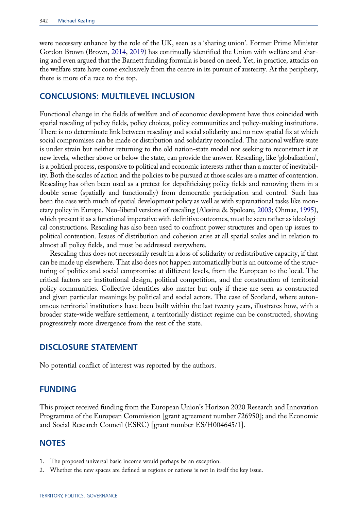<span id="page-12-0"></span>were necessary enhance by the role of the UK, seen as a 'sharing union'. Former Prime Minister Gordon Brown (Brown, [2014,](#page-13-0) [2019\)](#page-13-0) has continually identified the Union with welfare and sharing and even argued that the Barnett funding formula is based on need. Yet, in practice, attacks on the welfare state have come exclusively from the centre in its pursuit of austerity. At the periphery, there is more of a race to the top.

#### CONCLUSIONS: MULTILEVEL INCLUSION

Functional change in the fields of welfare and of economic development have thus coincided with spatial rescaling of policy fields, policy choices, policy communities and policy-making institutions. There is no determinate link between rescaling and social solidarity and no new spatial fix at which social compromises can be made or distribution and solidarity reconciled. The national welfare state is under strain but neither returning to the old nation-state model nor seeking to reconstruct it at new levels, whether above or below the state, can provide the answer. Rescaling, like 'globalization', is a political process, responsive to political and economic interests rather than a matter of inevitability. Both the scales of action and the policies to be pursued at those scales are a matter of contention. Rescaling has often been used as a pretext for depoliticizing policy fields and removing them in a double sense (spatially and functionally) from democratic participation and control. Such has been the case with much of spatial development policy as well as with supranational tasks like monetary policy in Europe. Neo-liberal versions of rescaling (Alesina & Spoloare, [2003](#page-13-0); Ohmae, [1995\)](#page-14-0), which present it as a functional imperative with definitive outcomes, must be seen rather as ideological constructions. Rescaling has also been used to confront power structures and open up issues to political contention. Issues of distribution and cohesion arise at all spatial scales and in relation to almost all policy fields, and must be addressed everywhere.

Rescaling thus does not necessarily result in a loss of solidarity or redistributive capacity, if that can be made up elsewhere. That also does not happen automatically but is an outcome of the structuring of politics and social compromise at different levels, from the European to the local. The critical factors are institutional design, political competition, and the construction of territorial policy communities. Collective identities also matter but only if these are seen as constructed and given particular meanings by political and social actors. The case of Scotland, where autonomous territorial institutions have been built within the last twenty years, illustrates how, with a broader state-wide welfare settlement, a territorially distinct regime can be constructed, showing progressively more divergence from the rest of the state.

#### DISCLOSURE STATEMENT

No potential conflict of interest was reported by the authors.

## FUNDING

This project received funding from the European Union's Horizon 2020 Research and Innovation Programme of the European Commission [grant agreement number 726950]; and the Economic and Social Research Council (ESRC) [grant number ES/H004645/1].

## **NOTES**

- 1. The proposed universal basic income would perhaps be an exception.
- 2. Whether the new spaces are defined as regions or nations is not in itself the key issue.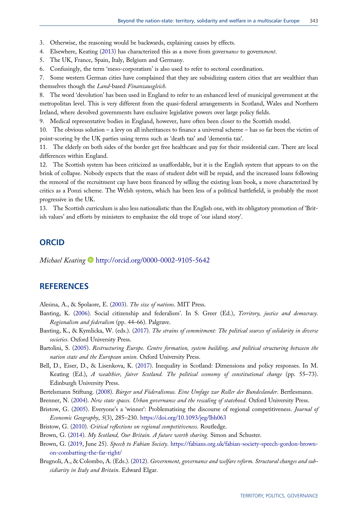<span id="page-13-0"></span>3. Otherwise, the reasoning would be backwards, explaining causes by effects.

- 4. Elsewhere, Keating [\(2013](#page-14-0)) has characterized this as a move from governance to government.
- 5. The UK, France, Spain, Italy, Belgium and Germany.
- 6. Confusingly, the term 'meso-corporatism' is also used to refer to sectoral coordination.

7. Some western German cities have complained that they are subsidizing eastern cities that are wealthier than themselves though the Land-based Finanzausgleich.

8. The word 'devolution' has been used in England to refer to an enhanced level of municipal government at the metropolitan level. This is very different from the quasi-federal arrangements in Scotland, Wales and Northern Ireland, where devolved governments have exclusive legislative powers over large policy fields.

9. Medical representative bodies in England, however, have often been closer to the Scottish model.

10. The obvious solution – a levy on all inheritances to finance a universal scheme – has so far been the victim of point-scoring by the UK parties using terms such as 'death tax' and 'dementia tax'.

11. The elderly on both sides of the border get free healthcare and pay for their residential care. There are local differences within England.

12. The Scottish system has been criticized as unaffordable, but it is the English system that appears to on the brink of collapse. Nobody expects that the mass of student debt will be repaid, and the increased loans following the removal of the recruitment cap have been financed by selling the existing loan book, a move characterized by critics as a Ponzi scheme. The Welsh system, which has been less of a political battlefield, is probably the most progressive in the UK.

13. The Scottish curriculum is also less nationalistic than the English one, with its obligatory promotion of 'British values' and efforts by ministers to emphasize the old trope of 'our island story'.

#### **ORCID**

Michael Keating <http://orcid.org/0000-0002-9105-5642>

#### **REFERENCES**

Alesina, A., & Spolaore, E. [\(2003](#page-5-0)). The size of nations. MIT Press.

- Banting, K. ([2006\)](#page-3-0). Social citizenship and federalism'. In S. Greer (Ed.), Territory, justice and democracy. Regionalism and federalism (pp. 44–66). Palgrave.
- Banting, K., & Kymlicka, W. (eds.). [\(2017](#page-2-0)). The strains of commitment: The political sources of solidarity in diverse societies. Oxford University Press.
- Bartolini, S. [\(2005](#page-2-0)). Restructuring Europe. Centre formation, system building, and political structuring between the nation state and the European union. Oxford University Press.
- Bell, D., Eiser, D., & Lisenkova, K. [\(2017](#page-11-0)). Inequality in Scotland: Dimensions and policy responses. In M. Keating (Ed.), A wealthier, fairer Scotland. The political economy of constitutional change (pp. 55-73). Edinburgh University Press.
- Bertelsmann Stiftung. ([2008\)](#page-7-0). Bürger und Föderalismus. Eine Umfage zur Roller der Bundeslander. Bertlesmann.
- Brenner, N. ([2004\)](#page-4-0). New state spaces. Urban governance and the rescaling of statehood. Oxford University Press.
- Bristow, G. [\(2005](#page-5-0)). Everyone's a 'winner': Problematising the discourse of regional competitiveness. Journal of Economic Geography, 5(3), 285–230. <https://doi.org/10.1093/jeg/lbh063>
- Bristow, G. ([2010\)](#page-5-0). Critical reflections on regional competitiveness. Routledge.

Brown, G. [\(2014](#page-12-0)). My Scotland, Our Britain. A future worth sharing. Simon and Schuster.

- Brown, G. [\(2019](#page-12-0), June 25). Speech to Fabian Society. [https://fabians.org.uk/fabian-society-speech-gordon-brown](https://fabians.org.uk/fabian-society-speech-gordon-brown-on-combatting-the-far-right/)[on-combatting-the-far-right/](https://fabians.org.uk/fabian-society-speech-gordon-brown-on-combatting-the-far-right/)
- Brugnoli, A., & Colombo, A. (Eds.). [\(2012](#page-8-0)). Government, governance and welfare reform. Structural changes and subsidiarity in Italy and Britain. Edward Elgar.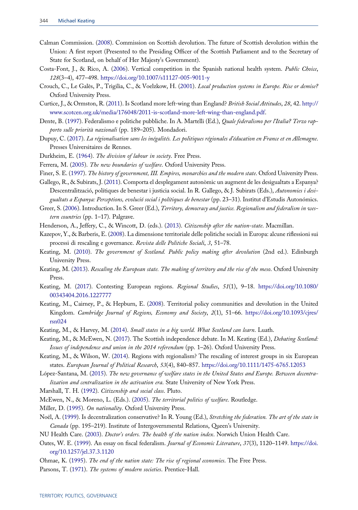- <span id="page-14-0"></span>Calman Commission. ([2008\)](#page-9-0). Commission on Scottish devolution. The future of Scottish devolution within the Union: A first report (Presented to the Presiding Officer of the Scottish Parliament and to the Secretary of State for Scotland, on behalf of Her Majesty's Government).
- Costa-Font, J., & Rico, A. [\(2006](#page-8-0)). Vertical competition in the Spanish national health system. Public Choice, 128(3–4), 477–498. <https://doi.org/10.1007/s11127-005-9011-y>
- Crouch, C., Le Galès, P., Trigilia, C., & Voelzkow, H. [\(2001](#page-4-0)). Local production systems in Europe. Rise or demise? Oxford University Press.
- Curtice, J., & Ormston, R. ([2011\)](#page-9-0). Is Scotland more left-wing than England? British Social Attitudes, 28, 42. [http://](http://www.scotcen.org.uk/media/176048/2011-is-scotland-more-left-wing-than-england.pdf) [www.scotcen.org.uk/media/176048/2011-is-scotland-more-left-wing-than-england.pdf](http://www.scotcen.org.uk/media/176048/2011-is-scotland-more-left-wing-than-england.pdf).
- Dente, B. ([1997](#page-8-0)). Federalismo e politiche pubbliche. In A. Martelli (Ed.), Quale federalismo per l'Italia? Terzo rapporto sulle priorità nazionali (pp. 189–205). Mondadori.
- Dupuy, C. [\(2017](#page-8-0)). La régionalisation sans les inégalités. Les politiques régionales d'éducation en France et en Allemagne. Presses Universitaires de Rennes.
- Durkheim, E. ([1964\)](#page-3-0). The division of labour in society. Free Press.
- Ferrera, M. [\(2005](#page-2-0)). The new boundaries of welfare. Oxford University Press.
- Finer, S. E. ([1997\)](#page-3-0). The history of government, III. Empires, monarchies and the modern state. Oxford University Press.
- Gallego, R., & Subirats, J. [\(2011](#page-8-0)). Comporta el desplegament autonòmic un augment de les desigualtats a Espanya? Descentralització, polítiques de benestar i justicia social. In R. Gallego, & J. Subirats (Eds.), Autonomies i desigualtats a Espanya: Perceptions, evolució social i polítiques de benestar (pp. 23–31). Institut d'Estudis Autonómics.
- Greer, S. ([2006\)](#page-3-0). Introduction. In S. Greer (Ed.), Territory, democracy and justice. Regionalism and federalism in western countries (pp. 1–17). Palgrave.
- Henderson, A., Jeffery, C., & Wincott, D. (eds.). ([2013\)](#page-7-0). Citizenship after the nation-state. Macmillan.
- Kazepov, Y., & Barberis, E. ([2008\)](#page-4-0). La dimensione territoriale delle politiche sociali in Europa: alcune riflessioni sui processi di rescaling e governance. Revista delle Politiche Sociali, 3, 51-78.
- Keating, M. ([2010\)](#page-9-0). The government of Scotland. Public policy making after devolution (2nd ed.). Edinburgh University Press.
- Keating, M. ([2013](#page-4-0)). Rescaling the European state. The making of territory and the rise of the meso. Oxford University Press.
- Keating, M. [\(2017](#page-5-0)). Contesting European regions. Regional Studies, 51(1), 9-18. [https://doi.org/10.1080/](https://doi.org/10.1080/00343404.2016.1227777) [00343404.2016.1227777](https://doi.org/10.1080/00343404.2016.1227777)
- Keating, M., Cairney, P., & Hepburn, E. [\(2008](#page-6-0)). Territorial policy communities and devolution in the United Kingdom. Cambridge Journal of Regions, Economy and Society, 2(1), 51–66. [https://doi.org/10.1093/cjres/](https://doi.org/10.1093/cjres/rsn024) [rsn024](https://doi.org/10.1093/cjres/rsn024)
- Keating, M., & Harvey, M. [\(2014](#page-11-0)). Small states in a big world. What Scotland can learn. Luath.
- Keating, M., & McEwen, N. [\(2017](#page-11-0)). The Scottish independence debate. In M. Keating (Ed.), Debating Scotland: Issues of independence and union in the 2014 referendum (pp. 1–26). Oxford University Press.
- Keating, M., & Wilson, W. ([2014\)](#page-6-0). Regions with regionalism? The rescaling of interest groups in six European states. European Journal of Political Research, 53(4), 840–857. <https://doi.org/10.1111/1475-6765.12053>
- López-Santana, M. [\(2015](#page-8-0)). The new governance of welfare states in the United States and Europe. Between decentralization and centralization in the activation era. State University of New York Press.
- Marshall, T. H. [\(1992](#page-2-0)). Citizenship and social class. Pluto.
- McEwen, N., & Moreno, L. (Eds.). ([2005\)](#page-8-0). The territorial politics of welfare. Routledge.
- Miller, D. ([1995\)](#page-2-0). On nationality. Oxford University Press.
- Noël, A. ([1999\)](#page-5-0). Is decentralization conservative? In R. Young (Ed.), Stretching the federation. The art of the state in Canada (pp. 195-219). Institute of Intergovernmental Relations, Queen's University.
- NU Health Care. ([2003\)](#page-9-0). Doctor's orders. The health of the nation index. Norwich Union Health Care.
- Oates, W. E. [\(1999](#page-3-0)). An essay on fiscal federalism. Journal of Economic Literature, 37(3), 1120-1149. [https://doi.](https://doi.org/10.1257/jel.37.3.1120) [org/10.1257/jel.37.3.1120](https://doi.org/10.1257/jel.37.3.1120)
- Ohmae, K. [\(1995](#page-3-0)). The end of the nation state: The rise of regional economies. The Free Press.
- Parsons, T. ([1971\)](#page-3-0). The systems of modern societies. Prentice-Hall.